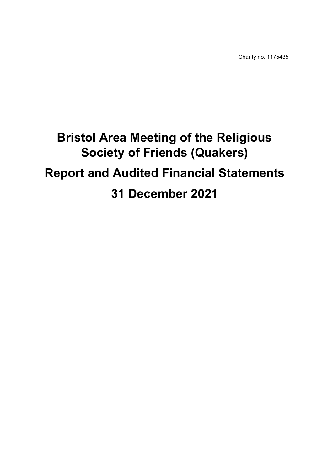Charity no. 1175435

# **Bristol Area Meeting of the Religious Society of Friends (Quakers) Report and Audited Financial Statements 31 December 2021**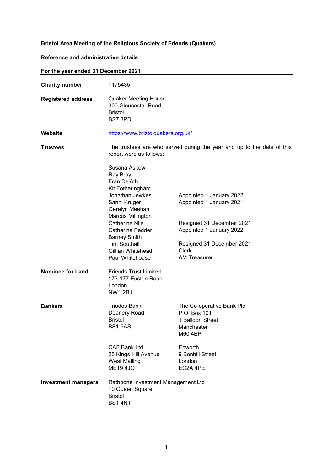# **Reference and administrative details**

**For the year ended 31 December 2021**

| <b>Charity number</b>      | 1175435                                                                                                                                                                                                                                                                  |                                                                                                                                                                                   |
|----------------------------|--------------------------------------------------------------------------------------------------------------------------------------------------------------------------------------------------------------------------------------------------------------------------|-----------------------------------------------------------------------------------------------------------------------------------------------------------------------------------|
| <b>Registered address</b>  | <b>Quaker Meeting House</b><br>300 Gloucester Road<br>Bristol<br>BS7 8PD                                                                                                                                                                                                 |                                                                                                                                                                                   |
| Website                    | https://www.bristolquakers.org.uk/                                                                                                                                                                                                                                       |                                                                                                                                                                                   |
| Trustees                   | report were as follows:                                                                                                                                                                                                                                                  | The trustees are who served during the year and up to the date of this                                                                                                            |
|                            | Susana Askew<br>Ray Bray<br>Fran De'Ath<br>Kit Fotheringham<br>Jonathan Jewkes<br>Sanni Kruger<br>Geralyn Meehan<br>Marcus Millington<br><b>Catherine Nile</b><br>Catharina Pedder<br><b>Barney Smith</b><br><b>Tim Southall</b><br>Gillian Whitehead<br>Paul Whitehouse | Appointed 1 January 2022<br>Appointed 1 January 2021<br>Resigned 31 December 2021<br>Appointed 1 January 2022<br>Resigned 31 December 2021<br><b>Clerk</b><br><b>AM Treasurer</b> |
| <b>Nominee for Land</b>    | <b>Friends Trust Limited</b><br>173-177 Euston Road<br>London<br><b>NW12BJ</b>                                                                                                                                                                                           |                                                                                                                                                                                   |
| <b>Bankers</b>             | <b>Triodos Bank</b><br>Deanery Road<br><b>Bristol</b><br><b>BS1 5AS</b>                                                                                                                                                                                                  | The Co-operative Bank Plc<br>P.O. Box 101<br>1 Balloon Street<br>Manchester<br>M60 4EP                                                                                            |
|                            | CAF Bank Ltd<br>25 Kings Hill Avenue<br><b>West Malling</b><br><b>ME194JQ</b>                                                                                                                                                                                            | Epworth<br>9 Bonhill Street<br>London<br>EC2A 4PE                                                                                                                                 |
| <b>Investment managers</b> | Rathbone Investment Management Ltd<br>10 Queen Square<br><b>Bristol</b><br><b>BS1 4NT</b>                                                                                                                                                                                |                                                                                                                                                                                   |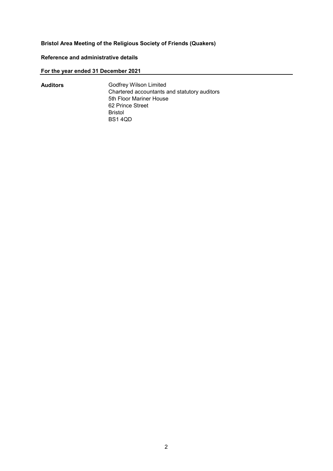# **Reference and administrative details**

# **For the year ended 31 December 2021**

| Auditors | Godfrey Wilson Limited                       |
|----------|----------------------------------------------|
|          | Chartered accountants and statutory auditors |
|          | 5th Floor Mariner House                      |
|          | 62 Prince Street                             |
|          | Bristol                                      |
|          | <b>BS14QD</b>                                |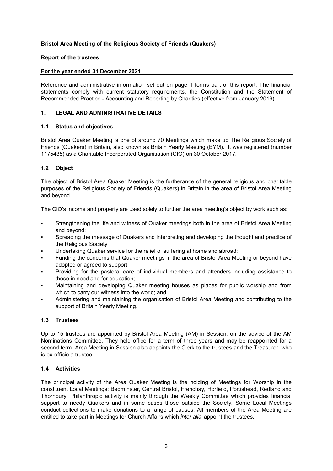## **Report of the trustees**

### **For the year ended 31 December 2021**

Reference and administrative information set out on page 1 forms part of this report. The financial statements comply with current statutory requirements, the Constitution and the Statement of Recommended Practice - Accounting and Reporting by Charities (effective from January 2019).

# **1. LEGAL AND ADMINISTRATIVE DETAILS**

#### **1.1 Status and objectives**

Bristol Area Quaker Meeting is one of around 70 Meetings which make up The Religious Society of Friends (Quakers) in Britain, also known as Britain Yearly Meeting (BYM). It was registered (number 1175435) as a Charitable Incorporated Organisation (CIO) on 30 October 2017.

# **1.2 Object**

The object of Bristol Area Quaker Meeting is the furtherance of the general religious and charitable purposes of the Religious Society of Friends (Quakers) in Britain in the area of Bristol Area Meeting and beyond.

The CIO's income and property are used solely to further the area meeting's object by work such as:

- Strengthening the life and witness of Quaker meetings both in the area of Bristol Area Meeting and beyond;
- Spreading the message of Quakers and interpreting and developing the thought and practice of the Religious Society;
- Undertaking Quaker service for the relief of suffering at home and abroad;
- Funding the concerns that Quaker meetings in the area of Bristol Area Meeting or beyond have adopted or agreed to support;
- Providing for the pastoral care of individual members and attenders including assistance to those in need and for education;
- Maintaining and developing Quaker meeting houses as places for public worship and from which to carry our witness into the world; and
- Administering and maintaining the organisation of Bristol Area Meeting and contributing to the support of Britain Yearly Meeting.

# **1.3 Trustees**

Up to 15 trustees are appointed by Bristol Area Meeting (AM) in Session, on the advice of the AM Nominations Committee. They hold office for a term of three years and may be reappointed for a second term. Area Meeting in Session also appoints the Clerk to the trustees and the Treasurer, who is ex-officio a trustee.

# **1.4 Activities**

The principal activity of the Area Quaker Meeting is the holding of Meetings for Worship in the constituent Local Meetings: Bedminster, Central Bristol, Frenchay, Horfield, Portishead, Redland and Thornbury. Philanthropic activity is mainly through the Weekly Committee which provides financial support to needy Quakers and in some cases those outside the Society. Some Local Meetings conduct collections to make donations to a range of causes. All members of the Area Meeting are entitled to take part in Meetings for Church Affairs which *inter alia* appoint the trustees.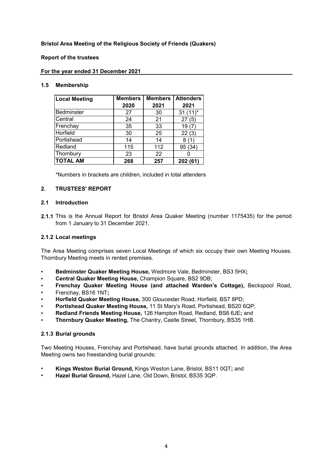## **Report of the trustees**

### **For the year ended 31 December 2021**

#### **1.5 Membership**

| <b>Local Meeting</b> | <b>Members</b><br>2020 | <b>Members</b><br>2021 | <b>Attenders</b><br>2021 |
|----------------------|------------------------|------------------------|--------------------------|
| <b>Bedminster</b>    | 27                     | 30                     | $(11)^*$<br>31.          |
| Central              | 24                     | 21                     | (5)<br>27                |
| Frenchay             | 35                     | 33                     | 19                       |
| Horfield             | 30                     | 25                     | 22(3)                    |
| Portishead           | 14                     | 14                     |                          |
| Redland              | 115                    | 112                    | 95 (34)                  |
| Thornbury            | 23                     | 22                     |                          |
| <b>TOTAL AM</b>      | 268                    | 257                    | 202(61)                  |

\*Numbers in brackets are children, included in total attenders

#### **2. TRUSTEES' REPORT**

#### **2.1 Introduction**

**2.1.1** This is the Annual Report for Bristol Area Quaker Meeting (number 1175435) for the period from 1 January to 31 December 2021.

### **2.1.2 Local meetings**

The Area Meeting comprises seven Local Meetings of which six occupy their own Meeting Houses. Thornbury Meeting meets in rented premises.

- **Bedminster Quaker Meeting House,** Wedmore Vale, Bedminster, BS3 5HX**;**
- **Central Quaker Meeting House,** Champion Square, BS2 9DB;
- **Frenchay Quaker Meeting House (and attached Warden's Cottage),** Beckspool Road,
- Frenchay, BS16 1NT**;**
- **Horfield Quaker Meeting House,** 300 Gloucester Road, Horfield, BS7 8PD;
- **Portishead Quaker Meeting House,** 11 St Mary's Road, Portishead, BS20 6QP;
- **Redland Friends Meeting House,** 126 Hampton Road, Redland, BS6 6JE**;** and
- **Thornbury Quaker Meeting,** The Chantry, Castle Street, Thornbury, BS35 1HB.

# **2.1.3 Burial grounds**

Two Meeting Houses, Frenchay and Portishead, have burial grounds attached. In addition, the Area Meeting owns two freestanding burial grounds:

- **Kings Weston Burial Ground,** Kings Weston Lane, Bristol, BS11 0QT**;** and
- Hazel Burial Ground, Hazel Lane, Old Down, Bristol, BS35 3QP.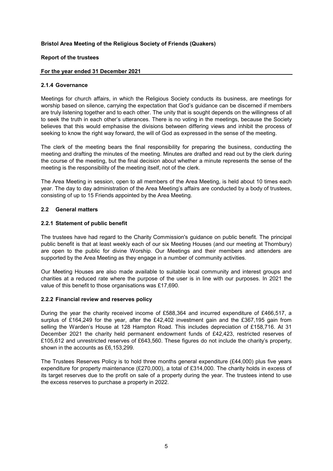### **Report of the trustees**

### **For the year ended 31 December 2021**

#### **2.1.4 Governance**

Meetings for church affairs, in which the Religious Society conducts its business, are meetings for worship based on silence, carrying the expectation that God's guidance can be discerned if members are truly listening together and to each other. The unity that is sought depends on the willingness of all to seek the truth in each other's utterances. There is no voting in the meetings, because the Society believes that this would emphasise the divisions between differing views and inhibit the process of seeking to know the right way forward, the will of God as expressed in the sense of the meeting.

The clerk of the meeting bears the final responsibility for preparing the business, conducting the meeting and drafting the minutes of the meeting. Minutes are drafted and read out by the clerk during the course of the meeting, but the final decision about whether a minute represents the sense of the meeting is the responsibility of the meeting itself, not of the clerk.

The Area Meeting in session, open to all members of the Area Meeting, is held about 10 times each year. The day to day administration of the Area Meeting's affairs are conducted by a body of trustees, consisting of up to 15 Friends appointed by the Area Meeting.

# **2.2 General matters**

#### **2.2.1 Statement of public benefit**

The trustees have had regard to the Charity Commission's guidance on public benefit. The principal public benefit is that at least weekly each of our six Meeting Houses (and our meeting at Thornbury) are open to the public for divine Worship. Our Meetings and their members and attenders are supported by the Area Meeting as they engage in a number of community activities.

Our Meeting Houses are also made available to suitable local community and interest groups and charities at a reduced rate where the purpose of the user is in line with our purposes. In 2021 the value of this benefit to those organisations was £17,690.

#### **2.2.2 Financial review and reserves policy**

During the year the charity received income of £588,364 and incurred expenditure of £466,517, a surplus of £164,249 for the year, after the £42,402 investment gain and the £367,195 gain from selling the Warden's House at 128 Hampton Road. This includes depreciation of £158,716. At 31 December 2021 the charity held permanent endowment funds of £42,423, restricted reserves of £105,612 and unrestricted reserves of £643,560. These figures do not include the charity's property, shown in the accounts as £6,153,299.

The Trustees Reserves Policy is to hold three months general expenditure (£44,000) plus five years expenditure for property maintenance (£270,000), a total of £314,000. The charity holds in excess of its target reserves due to the profit on sale of a property during the year. The trustees intend to use the excess reserves to purchase a property in 2022.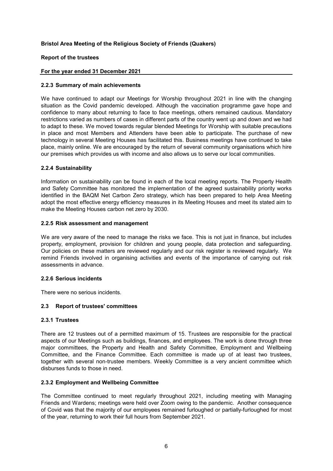## **Report of the trustees**

### **For the year ended 31 December 2021**

#### **2.2.3 Summary of main achievements**

We have continued to adapt our Meetings for Worship throughout 2021 in line with the changing situation as the Covid pandemic developed. Although the vaccination programme gave hope and confidence to many about returning to face to face meetings, others remained cautious. Mandatory restrictions varied as numbers of cases in different parts of the country went up and down and we had to adapt to these. We moved towards regular blended Meetings for Worship with suitable precautions in place and most Members and Attenders have been able to participate. The purchase of new technology in several Meeting Houses has facilitated this. Business meetings have continued to take place, mainly online. We are encouraged by the return of several community organisations which hire our premises which provides us with income and also allows us to serve our local communities.

# **2.2.4 Sustainability**

Information on sustainability can be found in each of the local meeting reports. The Property Health and Safety Committee has monitored the implementation of the agreed sustainability priority works identified in the BAQM Net Carbon Zero strategy, which has been prepared to help Area Meeting adopt the most effective energy efficiency measures in its Meeting Houses and meet its stated aim to make the Meeting Houses carbon net zero by 2030.

#### **2.2.5 Risk assessment and management**

We are very aware of the need to manage the risks we face. This is not just in finance, but includes property, employment, provision for children and young people, data protection and safeguarding. Our policies on these matters are reviewed regularly and our risk register is reviewed regularly. We remind Friends involved in organising activities and events of the importance of carrying out risk assessments in advance.

#### **2.2.6 Serious incidents**

There were no serious incidents.

# **2.3 Report of trustees' committees**

#### **2.3.1 Trustees**

There are 12 trustees out of a permitted maximum of 15. Trustees are responsible for the practical aspects of our Meetings such as buildings, finances, and employees. The work is done through three major committees, the Property and Health and Safety Committee, Employment and Wellbeing Committee, and the Finance Committee. Each committee is made up of at least two trustees, together with several non-trustee members. Weekly Committee is a very ancient committee which disburses funds to those in need.

# **2.3.2 Employment and Wellbeing Committee**

The Committee continued to meet regularly throughout 2021, including meeting with Managing Friends and Wardens; meetings were held over Zoom owing to the pandemic. Another consequence of Covid was that the majority of our employees remained furloughed or partially-furloughed for most of the year, returning to work their full hours from September 2021.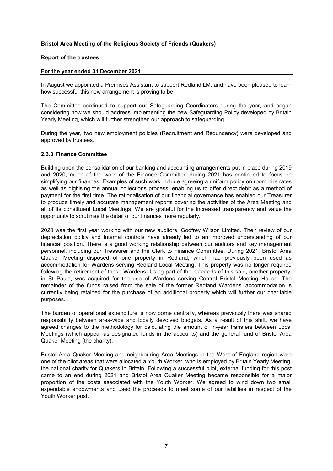#### **Report of the trustees**

#### **For the year ended 31 December 2021**

In August we appointed a Premises Assistant to support Redland LM; and have been pleased to learn how successful this new arrangement is proving to be.

The Committee continued to support our Safeguarding Coordinators during the year, and began considering how we should address implementing the new Safeguarding Policy developed by Britain Yearly Meeting, which will further strengthen our approach to safeguarding.

During the year, two new employment policies (Recruitment and Redundancy) were developed and approved by trustees.

#### **2.3.3 Finance Committee**

Building upon the consolidation of our banking and accounting arrangements put in place during 2019 and 2020, much of the work of the Finance Committee during 2021 has continued to focus on simplifying our finances. Examples of such work include agreeing a uniform policy on room hire rates as well as digitising the annual collections process, enabling us to offer direct debit as a method of payment for the first time. The rationalisation of our financial governance has enabled our Treasurer to produce timely and accurate management reports covering the activities of the Area Meeting and all of its constituent Local Meetings. We are grateful for the increased transparency and value the opportunity to scrutinise the detail of our finances more regularly.

2020 was the first year working with our new auditors, Godfrey Wilson Limited. Their review of our depreciation policy and internal controls have already led to an improved understanding of our financial position. There is a good working relationship between our auditors and key management personnel, including our Treasurer and the Clerk to Finance Committee. During 2021, Bristol Area Quaker Meeting disposed of one property in Redland, which had previously been used as accommodation for Wardens serving Redland Local Meeting. This property was no longer required following the retirement of those Wardens. Using part of the proceeds of this sale, another property, in St Pauls, was acquired for the use of Wardens serving Central Bristol Meeting House. The remainder of the funds raised from the sale of the former Redland Wardens' accommodation is currently being retained for the purchase of an additional property which will further our charitable purposes.

The burden of operational expenditure is now borne centrally, whereas previously there was shared responsibility between area-wide and locally devolved budgets. As a result of this shift, we have agreed changes to the methodology for calculating the amount of in-year transfers between Local Meetings (which appear as designated funds in the accounts) and the general fund of Bristol Area Quaker Meeting (the charity).

Bristol Area Quaker Meeting and neighbouring Area Meetings in the West of England region were one of the pilot areas that were allocated a Youth Worker, who is employed by Britain Yearly Meeting, the national charity for Quakers in Britain. Following a successful pilot, external funding for this post came to an end during 2021 and Bristol Area Quaker Meeting became responsible for a major proportion of the costs associated with the Youth Worker. We agreed to wind down two small expendable endowments and used the proceeds to meet some of our liabilities in respect of the Youth Worker post.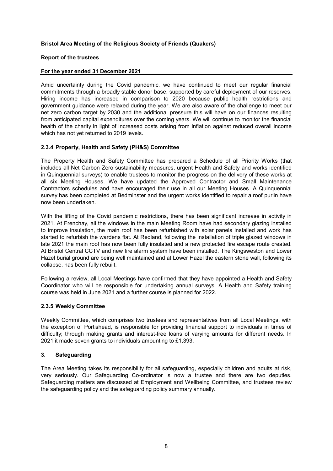## **Report of the trustees**

# **For the year ended 31 December 2021**

Amid uncertainty during the Covid pandemic, we have continued to meet our regular financial commitments through a broadly stable donor base, supported by careful deployment of our reserves. Hiring income has increased in comparison to 2020 because public health restrictions and government guidance were relaxed during the year. We are also aware of the challenge to meet our net zero carbon target by 2030 and the additional pressure this will have on our finances resulting from anticipated capital expenditures over the coming years. We will continue to monitor the financial health of the charity in light of increased costs arising from inflation against reduced overall income which has not yet returned to 2019 levels.

# **2.3.4 Property, Health and Safety (PH&S) Committee**

The Property Health and Safety Committee has prepared a Schedule of all Priority Works (that includes all Net Carbon Zero sustainability measures, urgent Health and Safety and works identified in Quinquennial surveys) to enable trustees to monitor the progress on the delivery of these works at all six Meeting Houses. We have updated the Approved Contractor and Small Maintenance Contractors schedules and have encouraged their use in all our Meeting Houses. A Quinquennial survey has been completed at Bedminster and the urgent works identified to repair a roof purlin have now been undertaken.

With the lifting of the Covid pandemic restrictions, there has been significant increase in activity in 2021. At Frenchay, all the windows in the main Meeting Room have had secondary glazing installed to improve insulation, the main roof has been refurbished with solar panels installed and work has started to refurbish the wardens flat. At Redland, following the installation of triple glazed windows in late 2021 the main roof has now been fully insulated and a new protected fire escape route created. At Bristol Central CCTV and new fire alarm system have been installed. The Kingsweston and Lower Hazel burial ground are being well maintained and at Lower Hazel the eastern stone wall, following its collapse, has been fully rebuilt.

Following a review, all Local Meetings have confirmed that they have appointed a Health and Safety Coordinator who will be responsible for undertaking annual surveys. A Health and Safety training course was held in June 2021 and a further course is planned for 2022.

# **2.3.5 Weekly Committee**

Weekly Committee, which comprises two trustees and representatives from all Local Meetings, with the exception of Portishead, is responsible for providing financial support to individuals in times of difficulty; through making grants and interest-free loans of varying amounts for different needs. In 2021 it made seven grants to individuals amounting to £1,393.

# **3. Safeguarding**

The Area Meeting takes its responsibility for all safeguarding, especially children and adults at risk, very seriously. Our Safeguarding Co-ordinator is now a trustee and there are two deputies. Safeguarding matters are discussed at Employment and Wellbeing Committee, and trustees review the safeguarding policy and the safeguarding policy summary annually.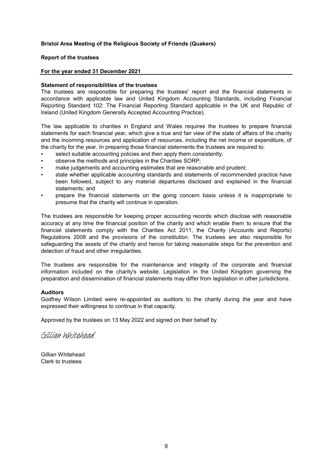#### **Report of the trustees**

#### **For the year ended 31 December 2021**

#### **Statement of responsibilities of the trustees**

The trustees are responsible for preparing the trustees' report and the financial statements in accordance with applicable law and United Kingdom Accounting Standards, including Financial Reporting Standard 102: The Financial Reporting Standard applicable in the UK and Republic of Ireland (United Kingdom Generally Accepted Accounting Practice).

The law applicable to charities in England and Wales requires the trustees to prepare financial statements for each financial year, which give a true and fair view of the state of affairs of the charity and the incoming resources and application of resources, including the net income or expenditure, of the charity for the year. In preparing those financial statements the trustees are required to:

- select suitable accounting policies and then apply them consistently;
- observe the methods and principles in the Charities SORP;
- make judgements and accounting estimates that are reasonable and prudent;
- state whether applicable accounting standards and statements of recommended practice have been followed, subject to any material departures disclosed and explained in the financial statements; and
- prepare the financial statements on the going concern basis unless it is inappropriate to presume that the charity will continue in operation.

The trustees are responsible for keeping proper accounting records which disclose with reasonable accuracy at any time the financial position of the charity and which enable them to ensure that the financial statements comply with the Charities Act 2011, the Charity (Accounts and Reports) Regulations 2008 and the provisions of the constitution. The trustees are also responsible for safeguarding the assets of the charity and hence for taking reasonable steps for the prevention and detection of fraud and other irregularities.

The trustees are responsible for the maintenance and integrity of the corporate and financial information included on the charity's website. Legislation in the United Kingdom governing the preparation and dissemination of financial statements may differ from legislation in other jurisdictions.

#### **Auditors**

Godfrey Wilson Limited were re-appointed as auditors to the charity during the year and have expressed their willingness to continue in that capacity.

Approved by the trustees on 13 May 2022 and signed on their behalf by

[Gillian Whitehead](https://eu1.documents.adobe.com/verifier?tx=CBJCHBCAABAAfDlDIp8VS-GIYcZpeHMTiS6q5ro1LbIh)

Gillian Whitehead Clerk to trustees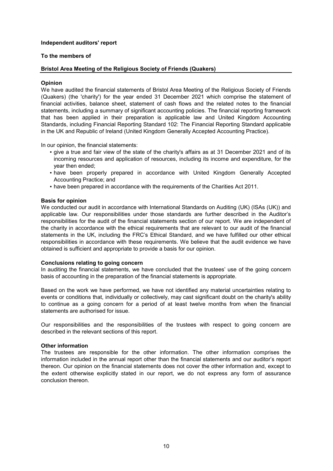#### **To the members of**

#### **Bristol Area Meeting of the Religious Society of Friends (Quakers)**

#### **Opinion**

We have audited the financial statements of Bristol Area Meeting of the Religious Society of Friends (Quakers) (the 'charity') for the year ended 31 December 2021 which comprise the statement of financial activities, balance sheet, statement of cash flows and the related notes to the financial statements, including a summary of significant accounting policies. The financial reporting framework that has been applied in their preparation is applicable law and United Kingdom Accounting Standards, including Financial Reporting Standard 102: The Financial Reporting Standard applicable in the UK and Republic of Ireland (United Kingdom Generally Accepted Accounting Practice).

In our opinion, the financial statements:

- give a true and fair view of the state of the charity's affairs as at 31 December 2021 and of its incoming resources and application of resources, including its income and expenditure, for the year then ended;
- **•** have been properly prepared in accordance with United Kingdom Generally Accepted Accounting Practice; and
- have been prepared in accordance with the requirements of the Charities Act 2011.

#### **Basis for opinion**

We conducted our audit in accordance with International Standards on Auditing (UK) (ISAs (UK)) and applicable law. Our responsibilities under those standards are further described in the Auditor's responsibilities for the audit of the financial statements section of our report. We are independent of the charity in accordance with the ethical requirements that are relevant to our audit of the financial statements in the UK, including the FRC's Ethical Standard, and we have fulfilled our other ethical responsibilities in accordance with these requirements. We believe that the audit evidence we have obtained is sufficient and appropriate to provide a basis for our opinion.

#### **Conclusions relating to going concern**

In auditing the financial statements, we have concluded that the trustees' use of the going concern basis of accounting in the preparation of the financial statements is appropriate.

Based on the work we have performed, we have not identified any material uncertainties relating to events or conditions that, individually or collectively, may cast significant doubt on the charity's ability to continue as a going concern for a period of at least twelve months from when the financial statements are authorised for issue.

Our responsibilities and the responsibilities of the trustees with respect to going concern are described in the relevant sections of this report.

#### **Other information**

The trustees are responsible for the other information. The other information comprises the information included in the annual report other than the financial statements and our auditor's report thereon. Our opinion on the financial statements does not cover the other information and, except to the extent otherwise explicitly stated in our report, we do not express any form of assurance conclusion thereon.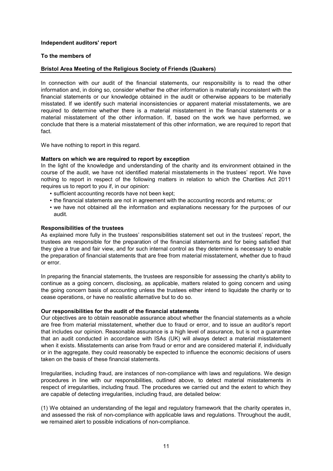#### **To the members of**

#### **Bristol Area Meeting of the Religious Society of Friends (Quakers)**

In connection with our audit of the financial statements, our responsibility is to read the other information and, in doing so, consider whether the other information is materially inconsistent with the financial statements or our knowledge obtained in the audit or otherwise appears to be materially misstated. If we identify such material inconsistencies or apparent material misstatements, we are required to determine whether there is a material misstatement in the financial statements or a material misstatement of the other information. If, based on the work we have performed, we conclude that there is a material misstatement of this other information, we are required to report that fact.

We have nothing to report in this regard.

#### **Matters on which we are required to report by exception**

In the light of the knowledge and understanding of the charity and its environment obtained in the course of the audit, we have not identified material misstatements in the trustees' report. We have nothing to report in respect of the following matters in relation to which the Charities Act 2011 requires us to report to you if, in our opinion:

- sufficient accounting records have not been kept;
- **.** the financial statements are not in agreement with the accounting records and returns; or
- we have not obtained all the information and explanations necessary for the purposes of our audit.

#### **Responsibilities of the trustees**

As explained more fully in the trustees' responsibilities statement set out in the trustees' report, the trustees are responsible for the preparation of the financial statements and for being satisfied that they give a true and fair view, and for such internal control as they determine is necessary to enable the preparation of financial statements that are free from material misstatement, whether due to fraud or error.

In preparing the financial statements, the trustees are responsible for assessing the charity's ability to continue as a going concern, disclosing, as applicable, matters related to going concern and using the going concern basis of accounting unless the trustees either intend to liquidate the charity or to cease operations, or have no realistic alternative but to do so.

#### **Our responsibilities for the audit of the financial statements**

Our objectives are to obtain reasonable assurance about whether the financial statements as a whole are free from material misstatement, whether due to fraud or error, and to issue an auditor's report that includes our opinion. Reasonable assurance is a high level of assurance, but is not a guarantee that an audit conducted in accordance with ISAs (UK) will always detect a material misstatement when it exists. Misstatements can arise from fraud or error and are considered material if, individually or in the aggregate, they could reasonably be expected to influence the economic decisions of users taken on the basis of these financial statements.

Irregularities, including fraud, are instances of non-compliance with laws and regulations. We design procedures in line with our responsibilities, outlined above, to detect material misstatements in respect of irregularities, including fraud. The procedures we carried out and the extent to which they are capable of detecting irregularities, including fraud, are detailed below:

(1) We obtained an understanding of the legal and regulatory framework that the charity operates in, and assessed the risk of non-compliance with applicable laws and regulations. Throughout the audit, we remained alert to possible indications of non-compliance.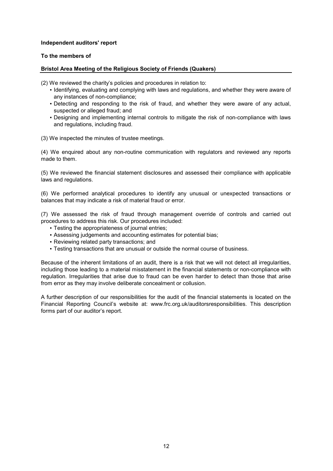#### **To the members of**

### **Bristol Area Meeting of the Religious Society of Friends (Quakers)**

(2) We reviewed the charity's policies and procedures in relation to:

- Identifying, evaluating and complying with laws and regulations, and whether they were aware of any instances of non-compliance;
- Detecting and responding to the risk of fraud, and whether they were aware of any actual, suspected or alleged fraud; and
- **•** Designing and implementing internal controls to mitigate the risk of non-compliance with laws and regulations, including fraud.

(3) We inspected the minutes of trustee meetings.

(4) We enquired about any non-routine communication with regulators and reviewed any reports made to them.

(5) We reviewed the financial statement disclosures and assessed their compliance with applicable laws and regulations.

(6) We performed analytical procedures to identify any unusual or unexpected transactions or balances that may indicate a risk of material fraud or error.

(7) We assessed the risk of fraud through management override of controls and carried out procedures to address this risk. Our procedures included:

- Testing the appropriateness of journal entries;
- Assessing judgements and accounting estimates for potential bias;
- Reviewing related party transactions; and
- Testing transactions that are unusual or outside the normal course of business.

Because of the inherent limitations of an audit, there is a risk that we will not detect all irregularities, including those leading to a material misstatement in the financial statements or non-compliance with regulation. Irregularities that arise due to fraud can be even harder to detect than those that arise from error as they may involve deliberate concealment or collusion.

A further description of our responsibilities for the audit of the financial statements is located on the Financial Reporting Council's website at: www.frc.org.uk/auditorsresponsibilities. This description forms part of our auditor's report.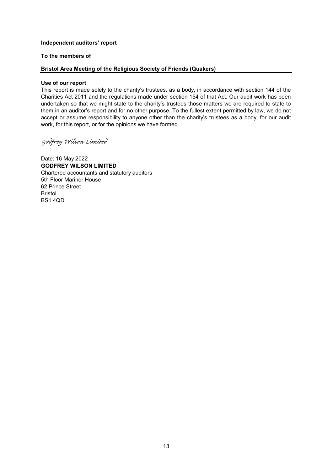#### **To the members of**

### **Bristol Area Meeting of the Religious Society of Friends (Quakers)**

#### **Use of our report**

This report is made solely to the charity's trustees, as a body, in accordance with section 144 of the Charities Act 2011 and the regulations made under section 154 of that Act. Our audit work has been undertaken so that we might state to the charity's trustees those matters we are required to state to them in an auditor's report and for no other purpose. To the fullest extent permitted by law, we do not accept or assume responsibility to anyone other than the charity's trustees as a body, for our audit work, for this report, or for the opinions we have formed.

[Godfrey Wilson Limited](https://eu1.documents.adobe.com/verifier?tx=CBJCHBCAABAAfDlDIp8VS-GIYcZpeHMTiS6q5ro1LbIh)

Date: 16 May 2022 BS1 4QD **GODFREY WILSON LIMITED** Chartered accountants and statutory auditors 5th Floor Mariner House 62 Prince Street Bristol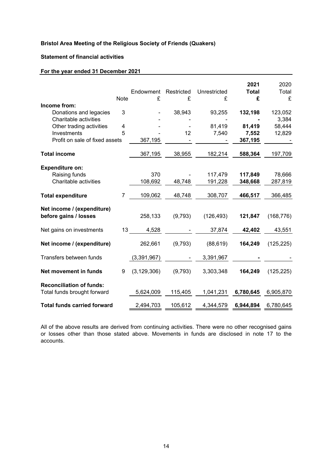# **Statement of financial activities**

#### **For the year ended 31 December 2021**

|                                                                |                | Endowment     | Restricted | Unrestricted | 2021<br><b>Total</b> | 2020<br>Total   |
|----------------------------------------------------------------|----------------|---------------|------------|--------------|----------------------|-----------------|
|                                                                | Note           | £             | £          | £            | £                    | £               |
| Income from:<br>Donations and legacies                         | 3              |               | 38,943     | 93,255       | 132,198              | 123,052         |
| Charitable activities                                          | 4              |               |            | 81,419       | 81,419               | 3,384<br>58,444 |
| Other trading activities<br>Investments                        | 5              |               | 12         | 7,540        | 7,552                | 12,829          |
| Profit on sale of fixed assets                                 |                | 367,195       |            |              | 367,195              |                 |
|                                                                |                |               |            |              |                      |                 |
| <b>Total income</b>                                            |                | 367,195       | 38,955     | 182,214      | 588,364              | 197,709         |
| <b>Expenditure on:</b>                                         |                |               |            |              |                      |                 |
| Raising funds                                                  |                | 370           |            | 117,479      | 117,849              | 78,666          |
| Charitable activities                                          |                | 108,692       | 48,748     | 191,228      | 348,668              | 287,819         |
|                                                                |                |               |            |              |                      |                 |
| <b>Total expenditure</b>                                       | $\overline{7}$ | 109,062       | 48,748     | 308,707      | 466,517              | 366,485         |
| Net income / (expenditure)                                     |                |               |            |              |                      |                 |
| before gains / losses                                          |                | 258,133       | (9,793)    | (126, 493)   | 121,847              | (168, 776)      |
| Net gains on investments                                       | 13             | 4,528         |            | 37,874       | 42,402               | 43,551          |
| Net income / (expenditure)                                     |                | 262,661       | (9,793)    | (88, 619)    | 164,249              | (125, 225)      |
| Transfers between funds                                        |                | (3,391,967)   |            | 3,391,967    |                      |                 |
| Net movement in funds                                          | 9              | (3, 129, 306) | (9,793)    | 3,303,348    | 164,249              | (125, 225)      |
| <b>Reconciliation of funds:</b><br>Total funds brought forward |                | 5,624,009     | 115,405    | 1,041,231    | 6,780,645            | 6,905,870       |
| <b>Total funds carried forward</b>                             |                | 2,494,703     | 105,612    | 4,344,579    | 6,944,894            | 6,780,645       |

All of the above results are derived from continuing activities. There were no other recognised gains or losses other than those stated above. Movements in funds are disclosed in note 17 to the accounts.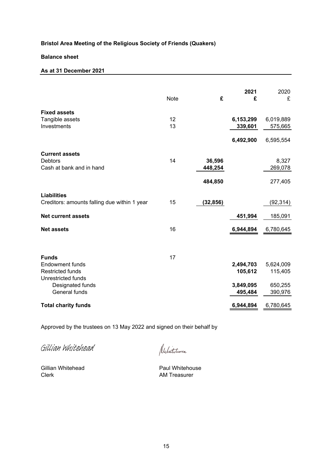# **Balance sheet**

# **As at 31 December 2021**

|                                                                                | Note     | £                 | 2021<br>£            | 2020<br>£            |
|--------------------------------------------------------------------------------|----------|-------------------|----------------------|----------------------|
| <b>Fixed assets</b>                                                            |          |                   |                      |                      |
| Tangible assets<br>Investments                                                 | 12<br>13 |                   | 6,153,299<br>339,601 | 6,019,889<br>575,665 |
|                                                                                |          |                   | 6,492,900            | 6,595,554            |
| <b>Current assets</b>                                                          |          |                   |                      |                      |
| <b>Debtors</b><br>Cash at bank and in hand                                     | 14       | 36,596<br>448,254 |                      | 8,327<br>269,078     |
|                                                                                |          | 484,850           |                      | 277,405              |
| <b>Liabilities</b>                                                             |          |                   |                      |                      |
| Creditors: amounts falling due within 1 year                                   | 15       | (32, 856)         |                      | (92, 314)            |
| <b>Net current assets</b>                                                      |          |                   | 451,994              | 185,091              |
| <b>Net assets</b>                                                              | 16       |                   | 6,944,894            | 6,780,645            |
|                                                                                |          |                   |                      |                      |
| <b>Funds</b>                                                                   | 17       |                   |                      |                      |
| <b>Endowment funds</b><br><b>Restricted funds</b><br><b>Unrestricted funds</b> |          |                   | 2,494,703<br>105,612 | 5,624,009<br>115,405 |
| Designated funds<br>General funds                                              |          |                   | 3,849,095<br>495,484 | 650,255<br>390,976   |
| <b>Total charity funds</b>                                                     |          |                   | 6,944,894            | 6,780,645            |

Approved by the trustees on 13 May 2022 and signed on their behalf by

[Gillian Whitehead](https://eu1.documents.adobe.com/verifier?tx=CBJCHBCAABAAfDlDIp8VS-GIYcZpeHMTiS6q5ro1LbIh)

Aubititiona

Gillian Whitehead **Paul Whitehouse**<br>Clerk **Paul Whitehouse**<br>AM Treasurer

AM Treasurer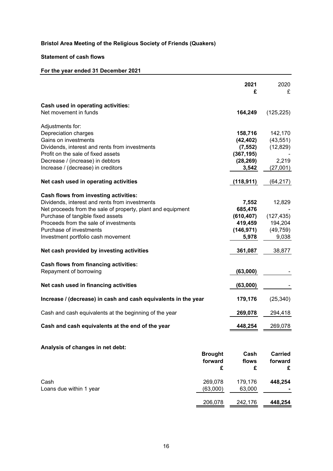# **Statement of cash flows**

# **For the year ended 31 December 2021**

|                                                                |                | 2021<br>£  | 2020<br>£      |
|----------------------------------------------------------------|----------------|------------|----------------|
| Cash used in operating activities:                             |                |            |                |
| Net movement in funds                                          |                | 164,249    | (125, 225)     |
| Adjustments for:                                               |                |            |                |
| Depreciation charges                                           |                | 158,716    | 142,170        |
| Gains on investments                                           |                | (42, 402)  | (43, 551)      |
| Dividends, interest and rents from investments                 |                | (7, 552)   | (12, 829)      |
| Profit on the sale of fixed assets                             |                | (367, 195) |                |
| Decrease / (increase) in debtors                               |                | (28, 269)  | 2,219          |
| Increase / (decrease) in creditors                             |                | 3,542      | (27,001)       |
| Net cash used in operating activities                          |                | (118, 911) | (64, 217)      |
| Cash flows from investing activities:                          |                |            |                |
| Dividends, interest and rents from investments                 |                | 7,552      | 12,829         |
| Net proceeds from the sale of property, plant and equipment    |                | 685,476    |                |
| Purchase of tangible fixed assets                              |                | (610, 407) | (127, 435)     |
| Proceeds from the sale of investments                          |                | 419,459    | 194,204        |
| Purchase of investments                                        |                | (146, 971) | (49, 759)      |
| Investment portfolio cash movement                             |                | 5,978      | 9,038          |
| Net cash provided by investing activities                      |                | 361,087    | 38,877         |
| <b>Cash flows from financing activities:</b>                   |                |            |                |
| Repayment of borrowing                                         |                | (63,000)   |                |
| Net cash used in financing activities                          |                | (63,000)   |                |
| Increase / (decrease) in cash and cash equivalents in the year |                | 179,176    | (25, 340)      |
| Cash and cash equivalents at the beginning of the year         |                | 269,078    | 294,418        |
| Cash and cash equivalents at the end of the year               |                | 448,254    | 269,078        |
| Analysis of changes in net debt:                               |                |            |                |
|                                                                | <b>Brought</b> | Cash       | <b>Carried</b> |
|                                                                | forward        | flows      | forward        |
|                                                                | £              | £          | £              |
| Cash                                                           | 269,078        | 179,176    | 448,254        |
| Loans due within 1 year                                        | (63,000)       | 63,000     |                |
|                                                                | 206,078        | 242,176    | 448,254        |
|                                                                |                |            |                |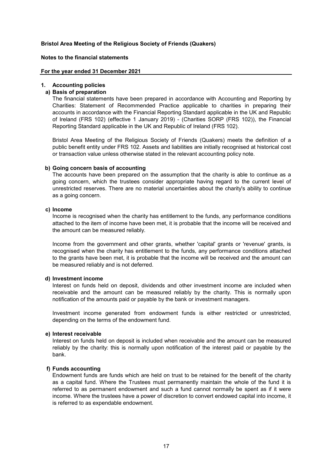#### **Notes to the financial statements**

#### **For the year ended 31 December 2021**

#### **1. Accounting policies**

#### **a) Basis of preparation**

The financial statements have been prepared in accordance with Accounting and Reporting by Charities: Statement of Recommended Practice applicable to charities in preparing their accounts in accordance with the Financial Reporting Standard applicable in the UK and Republic of Ireland (FRS 102) (effective 1 January 2019) - (Charities SORP (FRS 102)), the Financial Reporting Standard applicable in the UK and Republic of Ireland (FRS 102).

Bristol Area Meeting of the Religious Society of Friends (Quakers) meets the definition of a public benefit entity under FRS 102. Assets and liabilities are initially recognised at historical cost or transaction value unless otherwise stated in the relevant accounting policy note.

#### **b) Going concern basis of accounting**

The accounts have been prepared on the assumption that the charity is able to continue as a going concern, which the trustees consider appropriate having regard to the current level of unrestricted reserves. There are no material uncertainties about the charity's ability to continue as a going concern.

#### **c) Income**

Income is recognised when the charity has entitlement to the funds, any performance conditions attached to the item of income have been met, it is probable that the income will be received and the amount can be measured reliably.

Income from the government and other grants, whether 'capital' grants or 'revenue' grants, is recognised when the charity has entitlement to the funds, any performance conditions attached to the grants have been met, it is probable that the income will be received and the amount can be measured reliably and is not deferred.

#### **d) Investment income**

Interest on funds held on deposit, dividends and other investment income are included when receivable and the amount can be measured reliably by the charity. This is normally upon notification of the amounts paid or payable by the bank or investment managers.

Investment income generated from endowment funds is either restricted or unrestricted, depending on the terms of the endowment fund.

#### **e) Interest receivable**

Interest on funds held on deposit is included when receivable and the amount can be measured reliably by the charity: this is normally upon notification of the interest paid or payable by the bank.

#### **f) Funds accounting**

Endowment funds are funds which are held on trust to be retained for the benefit of the charity as a capital fund. Where the Trustees must permanently maintain the whole of the fund it is referred to as permanent endowment and such a fund cannot normally be spent as if it were income. Where the trustees have a power of discretion to convert endowed capital into income, it is referred to as expendable endowment.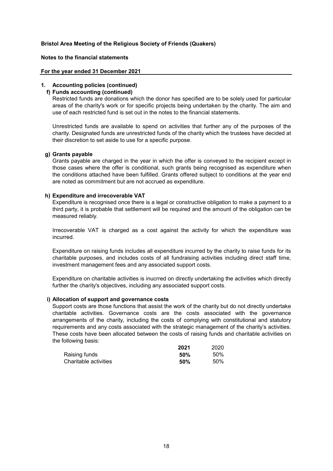#### **Notes to the financial statements**

#### **For the year ended 31 December 2021**

#### **1. Accounting policies (continued)**

#### **f) Funds accounting (continued)**

Restricted funds are donations which the donor has specified are to be solely used for particular areas of the charity's work or for specific projects being undertaken by the charity. The aim and use of each restricted fund is set out in the notes to the financial statements.

Unrestricted funds are available to spend on activities that further any of the purposes of the charity. Designated funds are unrestricted funds of the charity which the trustees have decided at their discretion to set aside to use for a specific purpose.

#### **g) Grants payable**

Grants payable are charged in the year in which the offer is conveyed to the recipient except in those cases where the offer is conditional, such grants being recognised as expenditure when the conditions attached have been fulfilled. Grants offered subject to conditions at the year end are noted as commitment but are not accrued as expenditure.

#### **h) Expenditure and irrecoverable VAT**

Expenditure is recognised once there is a legal or constructive obligation to make a payment to a third party, it is probable that settlement will be required and the amount of the obligation can be measured reliably.

Irrecoverable VAT is charged as a cost against the activity for which the expenditure was incurred.

Expenditure on raising funds includes all expenditure incurred by the charity to raise funds for its charitable purposes, and includes costs of all fundraising activities including direct staff time, investment management fees and any associated support costs.

Expenditure on charitable activities is inucrred on directly undertaking the activities which directly further the charity's objectives, including any associated support costs.

#### **i) Allocation of support and governance costs**

Support costs are those functions that assist the work of the charity but do not directly undertake charitable activities. Governance costs are the costs associated with the governance arrangements of the charity, including the costs of complying with constitutional and statutory requirements and any costs associated with the strategic management of the charity's activities. These costs have been allocated between the costs of raising funds and charitable activities on the following basis:

|                       | 2021 | 2020 |
|-----------------------|------|------|
| Raising funds         | 50%  | 50%  |
| Charitable activities | 50%  | 50%  |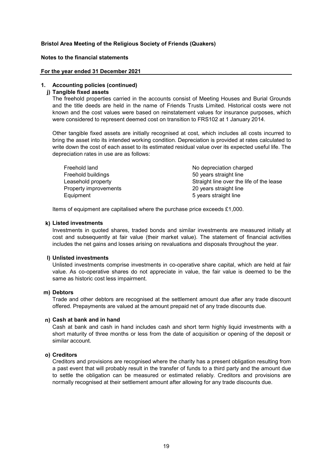#### **Notes to the financial statements**

#### **For the year ended 31 December 2021**

#### **1. Accounting policies (continued)**

#### **j) Tangible fixed assets**

The freehold properties carried in the accounts consist of Meeting Houses and Burial Grounds and the title deeds are held in the name of Friends Trusts Limited. Historical costs were not known and the cost values were based on reinstatement values for insurance purposes, which were considered to represent deemed cost on transition to FRS102 at 1 January 2014.

Other tangible fixed assets are initially recognised at cost, which includes all costs incurred to bring the asset into its intended working condition. Depreciation is provided at rates calculated to write down the cost of each asset to its estimated residual value over its expected useful life. The depreciation rates in use are as follows:

| Freehold land         | No depreciation charged                  |
|-----------------------|------------------------------------------|
| Freehold buildings    | 50 years straight line                   |
| Leasehold property    | Straight line over the life of the lease |
| Property improvements | 20 years straight line                   |
| Equipment             | 5 years straight line                    |

Items of equipment are capitalised where the purchase price exceeds £1,000.

#### **k) Listed investments**

Investments in quoted shares, traded bonds and similar investments are measured initially at cost and subsequently at fair value (their market value). The statement of financial activities includes the net gains and losses arising on revaluations and disposals throughout the year.

#### **l) Unlisted investments**

Unlisted investments comprise investments in co-operative share capital, which are held at fair value. As co-operative shares do not appreciate in value, the fair value is deemed to be the same as historic cost less impairment.

#### **m) Debtors**

Trade and other debtors are recognised at the settlement amount due after any trade discount offered. Prepayments are valued at the amount prepaid net of any trade discounts due.

#### **n) Cash at bank and in hand**

Cash at bank and cash in hand includes cash and short term highly liquid investments with a short maturity of three months or less from the date of acquisition or opening of the deposit or similar account.

#### **o) Creditors**

Creditors and provisions are recognised where the charity has a present obligation resulting from a past event that will probably result in the transfer of funds to a third party and the amount due to settle the obligation can be measured or estimated reliably. Creditors and provisions are normally recognised at their settlement amount after allowing for any trade discounts due.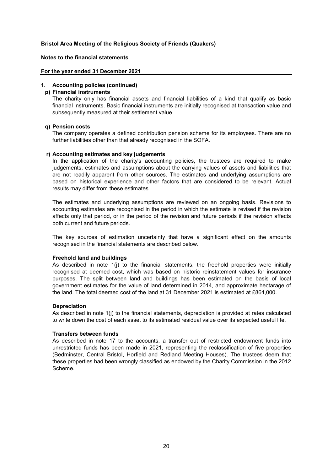#### **Notes to the financial statements**

#### **For the year ended 31 December 2021**

#### **1. Accounting policies (continued)**

#### **p) Financial instruments**

The charity only has financial assets and financial liabilities of a kind that qualify as basic financial instruments. Basic financial instruments are initially recognised at transaction value and subsequently measured at their settlement value.

#### **q) Pension costs**

The company operates a defined contribution pension scheme for its employees. There are no further liabilities other than that already recognised in the SOFA.

#### **r) Accounting estimates and key judgements**

In the application of the charity's accounting policies, the trustees are required to make judgements, estimates and assumptions about the carrying values of assets and liabilities that are not readily apparent from other sources. The estimates and underlying assumptions are based on historical experience and other factors that are considered to be relevant. Actual results may differ from these estimates.

The estimates and underlying assumptions are reviewed on an ongoing basis. Revisions to accounting estimates are recognised in the period in which the estimate is revised if the revision affects only that period, or in the period of the revision and future periods if the revision affects both current and future periods.

The key sources of estimation uncertainty that have a significant effect on the amounts recognised in the financial statements are described below.

#### **Freehold land and buildings**

As described in note 1(j) to the financial statements, the freehold properties were initially recognised at deemed cost, which was based on historic reinstatement values for insurance purposes. The split between land and buildings has been estimated on the basis of local government estimates for the value of land determined in 2014, and approximate hectarage of the land. The total deemed cost of the land at 31 December 2021 is estimated at £864,000.

#### **Depreciation**

As described in note 1(j) to the financial statements, depreciation is provided at rates calculated to write down the cost of each asset to its estimated residual value over its expected useful life.

#### **Transfers between funds**

As described in note 17 to the accounts, a transfer out of restricted endowment funds into unrestricted funds has been made in 2021, representing the reclassification of five properties (Bedminster, Central Bristol, Horfield and Redland Meeting Houses). The trustees deem that these properties had been wrongly classified as endowed by the Charity Commission in the 2012 Scheme.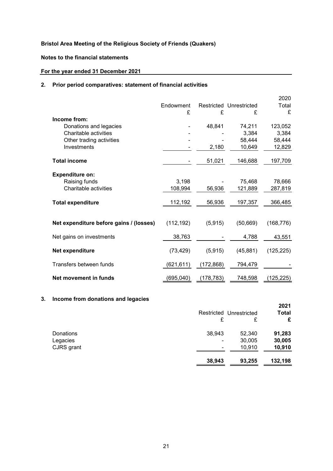# **Notes to the financial statements**

# **For the year ended 31 December 2021**

# **2. Prior period comparatives: statement of financial activities**

|                                         |            |            |                         | 2020       |
|-----------------------------------------|------------|------------|-------------------------|------------|
|                                         | Endowment  |            | Restricted Unrestricted | Total      |
|                                         | £          | £          | £                       | £          |
| Income from:                            |            |            |                         |            |
| Donations and legacies                  |            | 48,841     | 74,211                  | 123,052    |
| Charitable activities                   |            |            | 3,384                   | 3,384      |
| Other trading activities<br>Investments |            |            | 58,444                  | 58,444     |
|                                         |            | 2,180      | 10,649                  | 12,829     |
| <b>Total income</b>                     |            | 51,021     | 146,688                 | 197,709    |
| <b>Expenditure on:</b>                  |            |            |                         |            |
| Raising funds                           | 3,198      |            | 75,468                  | 78,666     |
| Charitable activities                   | 108,994    | 56,936     | 121,889                 | 287,819    |
|                                         |            |            |                         |            |
| <b>Total expenditure</b>                | 112,192    | 56,936     | 197,357                 | 366,485    |
|                                         |            |            |                         |            |
| Net expenditure before gains / (losses) | (112, 192) | (5, 915)   | (50, 669)               | (168, 776) |
| Net gains on investments                | 38,763     |            | 4,788                   | 43,551     |
| Net expenditure                         | (73, 429)  | (5, 915)   | (45, 881)               | (125, 225) |
| Transfers between funds                 |            |            |                         |            |
|                                         | (621, 611) | (172, 868) | 794,479                 |            |
| Net movement in funds                   | (695, 040) | (178,783)  | 748,598                 | (125, 225) |

# **3. Income from donations and legacies**

|            | £      | Restricted Unrestricted<br>£ | 2021<br><b>Total</b><br>£ |
|------------|--------|------------------------------|---------------------------|
| Donations  | 38,943 | 52,340                       | 91,283                    |
| Legacies   | ۰      | 30,005                       | 30,005                    |
| CJRS grant | ۰      | 10,910                       | 10,910                    |
|            | 38,943 | 93,255                       | 132,198                   |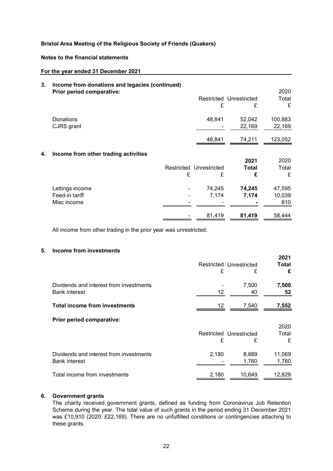## **Notes to the financial statements**

#### **For the year ended 31 December 2021**

| 3. | Income from donations and legacies (continued)<br>Prior period comparative: |                         |                              | 2020              |
|----|-----------------------------------------------------------------------------|-------------------------|------------------------------|-------------------|
|    |                                                                             | £                       | Restricted Unrestricted<br>£ | Total<br>£        |
|    | Donations<br>CJRS grant                                                     | 48,841                  | 52,042<br>22,169             | 100,883<br>22,169 |
|    |                                                                             | 48,841                  | 74,211                       | 123,052           |
| 4. | Income from other trading activities                                        |                         |                              |                   |
|    |                                                                             |                         | 2021                         | 2020              |
|    |                                                                             | Restricted Unrestricted | Total                        | Total             |
|    | £                                                                           | £                       | £                            | £                 |
|    | Lettings income                                                             | 74,245                  | 74,245                       | 47,595            |
|    | Feed-in tariff                                                              | 7,174                   | 7,174                        | 10,039            |
|    | Misc income                                                                 |                         |                              | 810               |
|    |                                                                             | 81,419                  | 81,419                       | 58,444            |

All income from other trading in the prior year was unrestricted.

## **5. Income from investments**

|                                                                 | £     | Restricted Unrestricted<br>£ | 2021<br>Total<br>£ |
|-----------------------------------------------------------------|-------|------------------------------|--------------------|
| Dividends and interest from investments<br><b>Bank interest</b> | 12    | 7,500<br>40                  | 7,500<br>52        |
| <b>Total income from investments</b>                            | 12    | 7,540                        | 7,552              |
| Prior period comparative:                                       |       |                              | 2020               |
|                                                                 | £     | Restricted Unrestricted<br>£ | Total<br>£         |
| Dividends and interest from investments<br><b>Bank interest</b> | 2,180 | 8,889<br>1,760               | 11,069<br>1,760    |
| Total income from investments                                   | 2,180 | 10,649                       | 12,829             |

# **6. Government grants**

The charity received government grants, defined as funding from Coronavirus Job Retention Scheme during the year. The total value of such grants in the period ending 31 December 2021 was £10,910 (2020: £22,169). There are no unfulfilled conditions or contingencies attaching to these grants.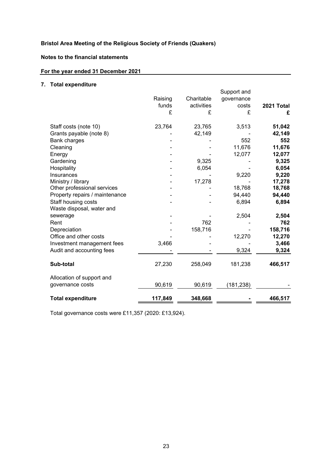# **Notes to the financial statements**

# **For the year ended 31 December 2021**

# **7. Total expenditure**

|                                |         |            | Support and |            |
|--------------------------------|---------|------------|-------------|------------|
|                                | Raising | Charitable | governance  |            |
|                                | funds   | activities | costs       | 2021 Total |
|                                | £       | £          | £           | £          |
| Staff costs (note 10)          | 23,764  | 23,765     | 3,513       | 51,042     |
| Grants payable (note 8)        |         | 42,149     |             | 42,149     |
| <b>Bank charges</b>            |         |            | 552         | 552        |
| Cleaning                       |         |            | 11,676      | 11,676     |
| Energy                         |         |            | 12,077      | 12,077     |
| Gardening                      |         | 9,325      |             | 9,325      |
| Hospitality                    |         | 6,054      |             | 6,054      |
| Insurances                     |         |            | 9,220       | 9,220      |
| Ministry / library             |         | 17,278     |             | 17,278     |
| Other professional services    |         |            | 18,768      | 18,768     |
| Property repairs / maintenance |         |            | 94,440      | 94,440     |
| Staff housing costs            |         |            | 6,894       | 6,894      |
| Waste disposal, water and      |         |            |             |            |
| sewerage                       |         |            | 2,504       | 2,504      |
| Rent                           |         | 762        |             | 762        |
| Depreciation                   |         | 158,716    |             | 158,716    |
| Office and other costs         |         |            | 12,270      | 12,270     |
| Investment management fees     | 3,466   |            |             | 3,466      |
| Audit and accounting fees      |         |            | 9,324       | 9,324      |
| Sub-total                      | 27,230  | 258,049    | 181,238     | 466,517    |
| Allocation of support and      |         |            |             |            |
| governance costs               | 90,619  | 90,619     | (181, 238)  |            |
| <b>Total expenditure</b>       | 117,849 | 348,668    |             | 466,517    |

Total governance costs were £11,357 (2020: £13,924).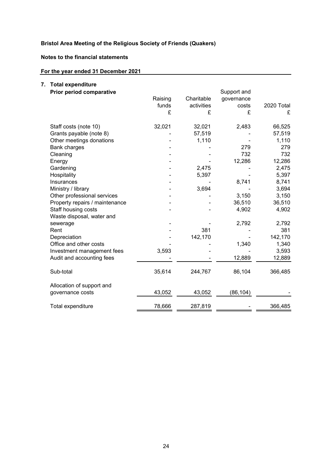# **Notes to the financial statements**

# **For the year ended 31 December 2021**

| 7. | <b>Total expenditure</b>       |         |            |             |            |
|----|--------------------------------|---------|------------|-------------|------------|
|    | Prior period comparative       |         |            | Support and |            |
|    |                                | Raising | Charitable | governance  |            |
|    |                                | funds   | activities | costs       | 2020 Total |
|    |                                | £       | £          | £           | £          |
|    | Staff costs (note 10)          | 32,021  | 32,021     | 2,483       | 66,525     |
|    | Grants payable (note 8)        |         | 57,519     |             | 57,519     |
|    | Other meetings donations       |         | 1,110      |             | 1,110      |
|    | <b>Bank charges</b>            |         |            | 279         | 279        |
|    | Cleaning                       |         |            | 732         | 732        |
|    | Energy                         |         |            | 12,286      | 12,286     |
|    | Gardening                      |         | 2,475      |             | 2,475      |
|    | Hospitality                    |         | 5,397      |             | 5,397      |
|    | Insurances                     |         |            | 8,741       | 8,741      |
|    | Ministry / library             |         | 3,694      |             | 3,694      |
|    | Other professional services    |         |            | 3,150       | 3,150      |
|    | Property repairs / maintenance |         |            | 36,510      | 36,510     |
|    | Staff housing costs            |         |            | 4,902       | 4,902      |
|    | Waste disposal, water and      |         |            |             |            |
|    | sewerage                       |         |            | 2,792       | 2,792      |
|    | Rent                           |         | 381        |             | 381        |
|    | Depreciation                   |         | 142,170    |             | 142,170    |
|    | Office and other costs         |         |            | 1,340       | 1,340      |
|    | Investment management fees     | 3,593   |            |             | 3,593      |
|    | Audit and accounting fees      |         |            | 12,889      | 12,889     |
|    | Sub-total                      | 35,614  | 244,767    | 86,104      | 366,485    |
|    | Allocation of support and      |         |            |             |            |
|    | governance costs               | 43,052  | 43,052     | (86, 104)   |            |
|    | Total expenditure              | 78,666  | 287,819    |             | 366,485    |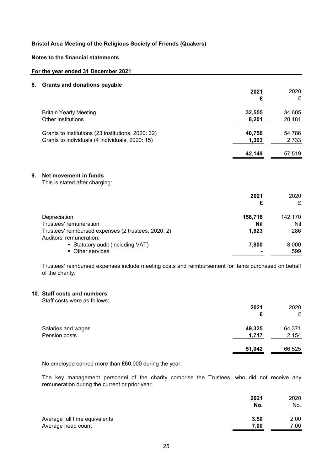### **Notes to the financial statements**

## **For the year ended 31 December 2021**

#### **8. Grants and donations payable**

|                                                    | 2021   | 2020   |
|----------------------------------------------------|--------|--------|
|                                                    | £      | £      |
| <b>Britain Yearly Meeting</b>                      | 32,555 | 34,605 |
| Other institutions                                 | 8,201  | 20,181 |
| Grants to institutions (23 institutions, 2020: 32) | 40,756 | 54,786 |
| Grants to individuals (4 individuals, 2020: 15)    | 1,393  | 2,733  |
|                                                    | 42.149 | 57.519 |

# **9. Net movement in funds**

This is stated after charging:

|                                                     | 2021<br>£ | 2020<br>£ |
|-----------------------------------------------------|-----------|-----------|
| Depreciation                                        | 158,716   | 142,170   |
| Trustees' remuneration                              | Nil       | Nil       |
| Trustees' reimbursed expenses (2 trustees, 2020: 2) | 1.823     | 286       |
| Auditors' remuneration:                             |           |           |
| • Statutory audit (including VAT)                   | 7,800     | 8,000     |
| • Other services                                    |           | 599       |

Trustees' reimbursed expenses include meeting costs and reimbursement for items purchased on behalf of the charity.

#### **10. Staff costs and numbers**

Staff costs were as follows:

|                                     | 2021<br>£       | 2020<br>£       |
|-------------------------------------|-----------------|-----------------|
| Salaries and wages<br>Pension costs | 49,325<br>1,717 | 64,371<br>2,154 |
|                                     | 51,042          | 66,525          |

No employee earned more than £60,000 during the year.

The key management personnel of the charity comprise the Trustees, who did not receive any remuneration during the current or prior year.

|                               | 2021<br>No. | 2020<br>No. |
|-------------------------------|-------------|-------------|
| Average full time equivalents | 3.50        | 2.00        |
| Average head count            | 7.00        | 7.00        |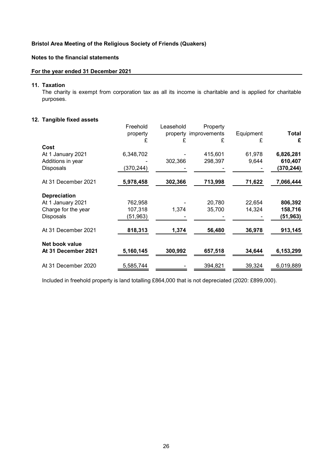#### **Notes to the financial statements**

# **For the year ended 31 December 2021**

#### **11. Taxation**

The charity is exempt from corporation tax as all its income is charitable and is applied for charitable purposes.

# **12. Tangible fixed assets**

|           | Leasehold |         |                                   |              |
|-----------|-----------|---------|-----------------------------------|--------------|
| property  |           |         | Equipment                         | <b>Total</b> |
| £         | £         | £       | £                                 | £            |
|           |           |         |                                   |              |
| 6,348,702 |           | 415,601 | 61,978                            | 6,826,281    |
|           | 302,366   | 298,397 | 9,644                             | 610,407      |
| (370,244) |           |         |                                   | (370,244)    |
| 5,978,458 | 302,366   | 713,998 | 71,622                            | 7,066,444    |
|           |           |         |                                   |              |
| 762,958   |           | 20,780  | 22,654                            | 806,392      |
| 107,318   | 1,374     | 35,700  | 14,324                            | 158,716      |
| (51, 963) |           |         |                                   | (51,963)     |
| 818,313   | 1,374     | 56,480  | 36,978                            | 913,145      |
|           |           |         |                                   |              |
| 5,160,145 | 300,992   | 657,518 | 34,644                            | 6,153,299    |
| 5,585,744 |           | 394,821 | 39,324                            | 6,019,889    |
|           | Freehold  |         | Property<br>property improvements |              |

Included in freehold property is land totalling £864,000 that is not depreciated (2020: £899,000).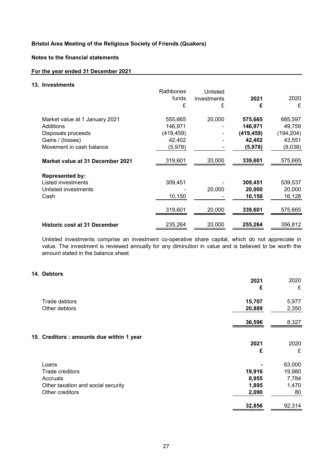# **Notes to the financial statements**

# **For the year ended 31 December 2021**

# **13. Investments**

|                                     | Rathbones  | Unlisted    |            |            |
|-------------------------------------|------------|-------------|------------|------------|
|                                     | funds      | investments | 2021       | 2020       |
|                                     | £          | £           | £          | £          |
| Market value at 1 January 2021      | 555,665    | 20,000      | 575,665    | 685,597    |
| Additions                           | 146,971    |             | 146,971    | 49,759     |
| Disposals proceeds                  | (419, 459) |             | (419, 459) | (194, 204) |
| Gains / (losses)                    | 42,402     |             | 42,402     | 43,551     |
| Movement in cash balance            | (5,978)    |             | (5,978)    | (9,038)    |
| Market value at 31 December 2021    | 319,601    | 20,000      | 339,601    | 575,665    |
| <b>Represented by:</b>              |            |             |            |            |
| Listed investments                  | 309,451    |             | 309,451    | 539,537    |
| Unlisted investments                |            | 20,000      | 20,000     | 20,000     |
| Cash                                | 10,150     |             | 10,150     | 16,128     |
|                                     | 319,601    | 20,000      | 339,601    | 575,665    |
| <b>Historic cost at 31 December</b> | 235,264    | 20,000      | 255,264    | 356,812    |

Unlisted investments comprise an investment co-operative share capital, which do not appreciate in value. The investment is reviewed annually for any diminution in value and is believed to be worth the amount stated in the balance sheet.

# **14. Debtors**

|                                           | 2021   | 2020   |
|-------------------------------------------|--------|--------|
|                                           | £      | £      |
| Trade debtors                             | 15,707 | 5,977  |
| Other debtors                             | 20,889 | 2,350  |
|                                           | 36,596 | 8,327  |
| 15. Creditors : amounts due within 1 year |        |        |
|                                           | 2021   | 2020   |
|                                           | £      | £      |
| Loans                                     |        | 63,000 |
| Trade creditors                           | 19,916 | 19,980 |
| Accruals                                  | 8,955  | 7,784  |
| Other taxation and social security        | 1,895  | 1,470  |
| Other creditors                           | 2,090  | 80     |
|                                           | 32,856 | 92,314 |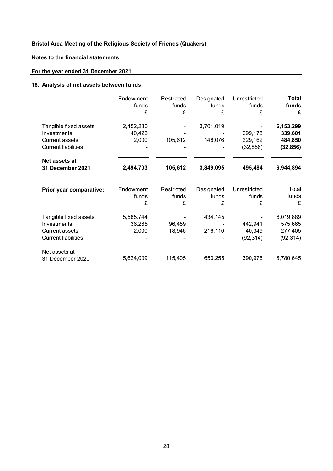# **Notes to the financial statements**

# **For the year ended 31 December 2021**

# **16. Analysis of net assets between funds**

|                                                                                             | Endowment<br>funds<br>£      | Restricted<br>funds<br>£ | Designated<br>funds<br>£ | Unrestricted<br>funds<br>£      | <b>Total</b><br>funds<br>£                   |
|---------------------------------------------------------------------------------------------|------------------------------|--------------------------|--------------------------|---------------------------------|----------------------------------------------|
| Tangible fixed assets<br>Investments<br><b>Current assets</b><br><b>Current liabilities</b> | 2,452,280<br>40,423<br>2,000 | 105,612                  | 3,701,019<br>148,076     | 299,178<br>229,162<br>(32, 856) | 6,153,299<br>339,601<br>484,850<br>(32, 856) |
| Net assets at<br>31 December 2021                                                           | 2,494,703                    | 105,612                  | 3,849,095                | 495,484                         | 6,944,894                                    |
| Prior year comparative:                                                                     | Endowment<br>funds<br>£      | Restricted<br>funds<br>£ | Designated<br>funds<br>£ | Unrestricted<br>funds<br>£      | Total<br>funds<br>£                          |
| Tangible fixed assets<br>Investments<br><b>Current assets</b><br><b>Current liabilities</b> | 5,585,744<br>36,265<br>2,000 | 96,459<br>18,946         | 434,145<br>216,110       | 442,941<br>40,349<br>(92, 314)  | 6,019,889<br>575,665<br>277,405<br>(92, 314) |
| Net assets at<br>31 December 2020                                                           | 5,624,009                    | 115,405                  | 650,255                  | 390,976                         | 6,780,645                                    |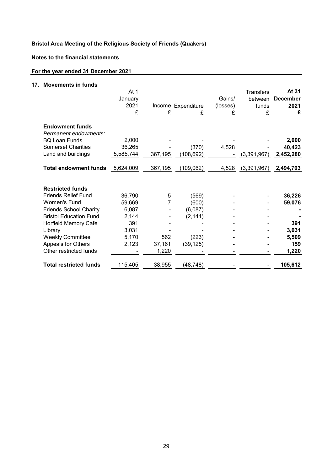# **Notes to the financial statements**

# **For the year ended 31 December 2021**

| 17. Movements in funds        |           |         |                    |          |                  |                 |
|-------------------------------|-----------|---------|--------------------|----------|------------------|-----------------|
|                               | At 1      |         |                    |          | <b>Transfers</b> | At 31           |
|                               | January   |         |                    | Gains/   | between          | <b>December</b> |
|                               | 2021      |         | Income Expenditure | (losses) | funds            | 2021            |
|                               | £         | £       | £                  | £        | £                | £               |
| <b>Endowment funds</b>        |           |         |                    |          |                  |                 |
| Permanent endowments:         |           |         |                    |          |                  |                 |
| <b>BQ Loan Funds</b>          | 2,000     |         |                    |          |                  | 2,000           |
| <b>Somerset Charities</b>     | 36,265    |         | (370)              | 4,528    |                  | 40,423          |
| Land and buildings            | 5,585,744 | 367,195 | (108, 692)         |          | (3,391,967)      | 2,452,280       |
| <b>Total endowment funds</b>  | 5,624,009 | 367,195 | (109,062)          | 4,528    | (3,391,967)      | 2,494,703       |
| <b>Restricted funds</b>       |           |         |                    |          |                  |                 |
| Friends Relief Fund           | 36,790    | 5       | (569)              |          |                  | 36,226          |
| Women's Fund                  | 59,669    | 7       | (600)              |          |                  | 59,076          |
| <b>Friends School Charity</b> | 6,087     |         | (6,087)            |          |                  |                 |
| <b>Bristol Education Fund</b> | 2,144     |         | (2, 144)           |          |                  |                 |
| Horfield Memory Cafe          | 391       |         |                    |          |                  | 391             |
| Library                       | 3,031     |         |                    |          |                  | 3,031           |
| <b>Weekly Committee</b>       | 5,170     | 562     | (223)              |          |                  | 5,509           |
| Appeals for Others            | 2,123     | 37,161  | (39, 125)          |          |                  | 159             |
| Other restricted funds        |           | 1,220   |                    |          |                  | 1,220           |
| <b>Total restricted funds</b> | 115,405   | 38,955  | (48, 748)          |          |                  | 105,612         |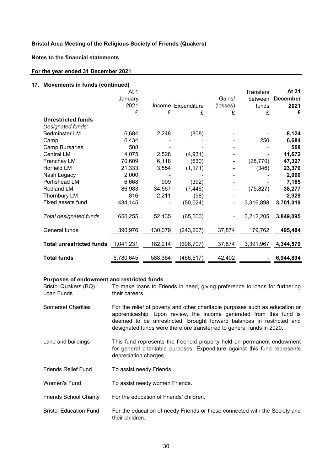#### **Notes to the financial statements**

#### **For the year ended 31 December 2021**

#### **17. Movements in funds (continued)**

|                                 | At 1      |         |                    |          | <b>Transfers</b> | At 31           |
|---------------------------------|-----------|---------|--------------------|----------|------------------|-----------------|
|                                 | January   |         |                    | Gains/   | between          | <b>December</b> |
|                                 | 2021      |         | Income Expenditure | (losses) | funds            | 2021            |
|                                 | £         | £       | £                  | £        | £                | £               |
| <b>Unrestricted funds</b>       |           |         |                    |          |                  |                 |
| Designated funds:               |           |         |                    |          |                  |                 |
| <b>Bedminster LM</b>            | 6,684     | 2,248   | (808)              |          |                  | 8,124           |
| Camp                            | 6,434     |         |                    |          | 250              | 6,684           |
| <b>Camp Bursaries</b>           | 508       |         |                    |          |                  | 508             |
| Central LM                      | 14,075    | 2,528   | (4,931)            |          |                  | 11,672          |
| Frenchay LM                     | 70,609    | 6,118   | (630)              |          | (28, 770)        | 47,327          |
| Horfield LM                     | 21,333    | 3,554   | (1, 171)           |          | (346)            | 23,370          |
| Nash Legacy                     | 2,000     |         |                    |          |                  | 2,000           |
| Portishead LM                   | 6,668     | 909     | (392)              |          |                  | 7,185           |
| <b>Redland LM</b>               | 86,983    | 34,567  | (7, 446)           |          | (75, 827)        | 38,277          |
| Thornbury LM                    | 816       | 2,211   | (98)               |          |                  | 2,929           |
| Fixed assets fund               | 434,145   |         | (50, 024)          |          | 3,316,898        | 3,701,019       |
|                                 |           |         |                    |          |                  |                 |
| Total designated funds          | 650,255   | 52,135  | (65, 500)          |          | 3,212,205        | 3,849,095       |
|                                 |           |         |                    |          |                  |                 |
| General funds                   | 390,976   | 130,079 | (243, 207)         | 37,874   | 179,762          | 495,484         |
|                                 |           |         |                    |          |                  |                 |
| <b>Total unrestricted funds</b> | 1,041,231 | 182,214 | (308, 707)         | 37,874   | 3,391,967        | 4,344,579       |
|                                 |           |         |                    |          |                  |                 |
| <b>Total funds</b>              | 6,780,645 | 588,364 | (466, 517)         | 42,402   |                  | 6,944,894       |

#### **Purposes of endowment and restricted funds**

Bristol Quakers (BQ) Loan Funds To make loans to Friends in need, giving preference to loans for furthering their careers.

- Somerset Charities For the relief of poverty and other charitable purposes such as education or apprenticeship. Upon review, the income generated from this fund is deemed to be unrestricted. Brought forward balances in restricted and designated funds were therefore transferred to general funds in 2020.
- Land and buildings This fund represents the freehold property held on permanent endowment for general charitable purposes. Expenditure against this fund represents depreciation charges.
- Friends Relief Fund To assist needy Friends.
- Women's Fund To assist needy women Friends.
- Friends School Charity For the education of Friends' children.
- Bristol Education Fund For the education of needy Friends or those connected with the Society and their children.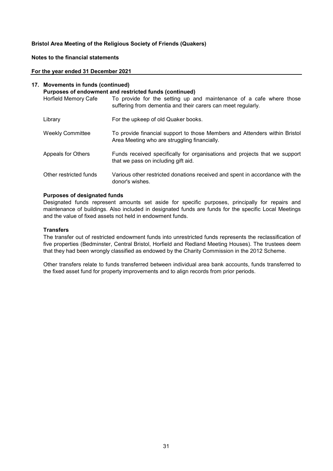#### **Notes to the financial statements**

**For the year ended 31 December 2021**

#### **17. Movements in funds (continued) Purposes of endowment and restricted funds (continued)** Horfield Memory Cafe To provide for the setting up and maintenance of a cafe where those suffering from dementia and their carers can meet regularly.

| Library                 | For the upkeep of old Quaker books.                                                                                        |
|-------------------------|----------------------------------------------------------------------------------------------------------------------------|
| <b>Weekly Committee</b> | To provide financial support to those Members and Attenders within Bristol<br>Area Meeting who are struggling financially. |
| Appeals for Others      | Funds received specifically for organisations and projects that we support<br>that we pass on including gift aid.          |

#### Other restricted funds Various other restricted donations received and spent in accordance with the donor's wishes.

#### **Purposes of designated funds**

Designated funds represent amounts set aside for specific purposes, principally for repairs and maintenance of buildings. Also included in designated funds are funds for the specific Local Meetings and the value of fixed assets not held in endowment funds.

# **Transfers**

The transfer out of restricted endowment funds into unrestricted funds represents the reclassification of five properties (Bedminster, Central Bristol, Horfield and Redland Meeting Houses). The trustees deem that they had been wrongly classified as endowed by the Charity Commission in the 2012 Scheme.

Other transfers relate to funds transferred between individual area bank accounts, funds transferred to the fixed asset fund for property improvements and to align records from prior periods.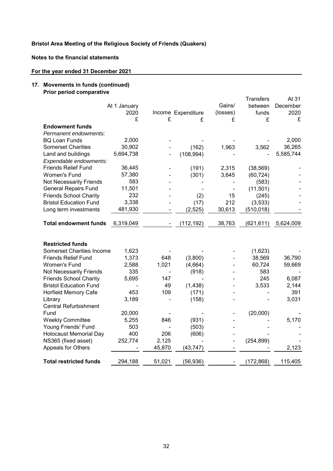# **Notes to the financial statements**

## **For the year ended 31 December 2021**

# **17. Movements in funds (continued) Prior period comparative**

| or period comparan               |              |        |                    |                          |                             |                   |
|----------------------------------|--------------|--------|--------------------|--------------------------|-----------------------------|-------------------|
|                                  | At 1 January |        |                    | Gains/                   | <b>Transfers</b><br>between | At 31<br>December |
|                                  | 2020         |        | Income Expenditure | (losses)                 | funds                       | 2020              |
|                                  | £            | £      | £                  | £                        | £                           | £                 |
| <b>Endowment funds</b>           |              |        |                    |                          |                             |                   |
| Permanent endowments:            |              |        |                    |                          |                             |                   |
| <b>BQ Loan Funds</b>             | 2,000        |        |                    |                          |                             | 2,000             |
| <b>Somerset Charities</b>        | 30,902       |        | (162)              | 1,963                    | 3,562                       | 36,265            |
| Land and buildings               | 5,694,738    |        | (108, 994)         |                          |                             | 5,585,744         |
| Expendable endowments:           |              |        |                    |                          |                             |                   |
| <b>Friends Relief Fund</b>       | 36,445       |        | (191)              | 2,315                    | (38, 569)                   |                   |
| <b>Women's Fund</b>              | 57,380       |        | (301)              | 3,645                    | (60, 724)                   |                   |
| Not Necessarily Friends          | 583          |        |                    |                          | (583)                       |                   |
| <b>General Repairs Fund</b>      | 11,501       |        |                    | $\overline{\phantom{0}}$ | (11, 501)                   |                   |
| <b>Friends School Charity</b>    | 232          |        | (2)                | 15                       | (245)                       |                   |
| <b>Bristol Education Fund</b>    | 3,338        |        | (17)               | 212                      | (3,533)                     |                   |
| Long term investments            | 481,930      |        | (2, 525)           | 30,613                   | (510, 018)                  |                   |
|                                  |              |        |                    |                          |                             |                   |
| <b>Total endowment funds</b>     | 6,319,049    |        | (112, 192)         | 38,763                   | (621, 611)                  | 5,624,009         |
|                                  |              |        |                    |                          |                             |                   |
|                                  |              |        |                    |                          |                             |                   |
| <b>Restricted funds</b>          |              |        |                    |                          |                             |                   |
| <b>Somerset Charities Income</b> | 1,623        |        |                    |                          | (1,623)                     |                   |
| <b>Friends Relief Fund</b>       | 1,373        | 648    | (3,800)            |                          | 38,569                      | 36,790            |
| Women's Fund                     | 2,588        | 1,021  | (4,664)            |                          | 60,724                      | 59,669            |
| Not Necessarily Friends          | 335          |        | (918)              |                          | 583                         |                   |
| <b>Friends School Charity</b>    | 5,695        | 147    |                    |                          | 245                         | 6,087             |
| <b>Bristol Education Fund</b>    |              | 49     | (1, 438)           |                          | 3,533                       | 2,144             |
| Horfield Memory Cafe             | 453          | 109    | (171)              |                          |                             | 391               |
| Library                          | 3,189        |        | (158)              |                          |                             | 3,031             |
| <b>Central Refurbishment</b>     |              |        |                    |                          |                             |                   |
| Fund                             | 20,000       |        |                    |                          | (20,000)                    |                   |
| <b>Weekly Committee</b>          | 5,255        | 846    | (931)              |                          |                             | 5,170             |
| Young Friends' Fund              | 503          |        | (503)              |                          |                             |                   |
| <b>Holocaust Memorial Day</b>    | 400          | 206    | (606)              |                          |                             |                   |
| NS365 (fixed asset)              | 252,774      | 2,125  |                    |                          | (254, 899)                  |                   |
| Appeals for Others               |              | 45,870 | (43, 747)          |                          |                             | 2,123             |
| <b>Total restricted funds</b>    | 294,188      | 51,021 | (56, 936)          |                          | (172, 868)                  | 115,405           |